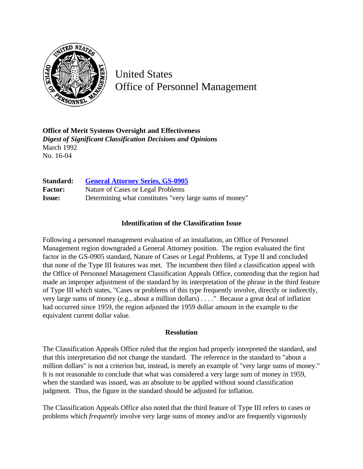

United States Office of Personnel Management

**Office of Merit Systems Oversight and Effectiveness** *Digest of Significant Classification Decisions and Opinions* March 1992 No. 16-04

| <b>Standard:</b> | <b>General Attorney Series, GS-0905</b>                 |
|------------------|---------------------------------------------------------|
| <b>Factor:</b>   | Nature of Cases or Legal Problems                       |
| <b>Issue:</b>    | Determining what constitutes "very large sums of money" |

## **Identification of the Classification Issue**

Following a personnel management evaluation of an installation, an Office of Personnel Management region downgraded a General Attorney position. The region evaluated the first factor in the GS-0905 standard, Nature of Cases or Legal Problems, at Type II and concluded that none of the Type III features was met. The incumbent then filed a classification appeal with the Office of Personnel Management Classification Appeals Office, contending that the region had made an improper adjustment of the standard by its interpretation of the phrase in the third feature of Type III which states, "Cases or problems of this type frequently involve, directly or indirectly, very large sums of money (e.g., about a million dollars) . . . ." Because a great deal of inflation had occurred since 1959, the region adjusted the 1959 dollar amount in the example to the equivalent current dollar value.

## **Resolution**

The Classification Appeals Office ruled that the region had properly interpreted the standard, and that this interpretation did not change the standard. The reference in the standard to "about a million dollars" is not a criterion but, instead, is merely an example of "very large sums of money." It is not reasonable to conclude that what was considered a very large sum of money in 1959, when the standard was issued, was an absolute to be applied without sound classification judgment. Thus, the figure in the standard should be adjusted for inflation.

The Classification Appeals Office also noted that the third feature of Type III refers to cases or problems which *frequently* involve very large sums of money and/or are frequently vigorously